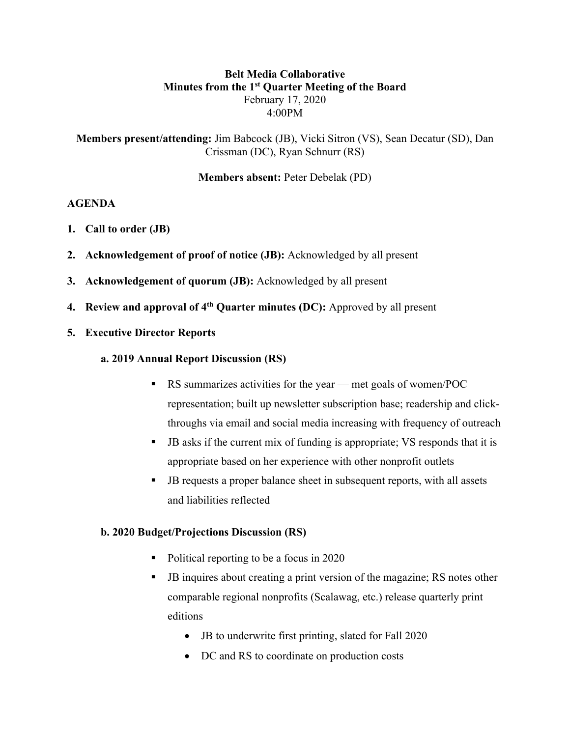### **Belt Media Collaborative Minutes from the 1st Quarter Meeting of the Board** February 17, 2020 4:00PM

**Members present/attending:** Jim Babcock (JB), Vicki Sitron (VS), Sean Decatur (SD), Dan Crissman (DC), Ryan Schnurr (RS)

**Members absent:** Peter Debelak (PD)

#### **AGENDA**

- **1. Call to order (JB)**
- **2. Acknowledgement of proof of notice (JB):** Acknowledged by all present
- **3. Acknowledgement of quorum (JB):** Acknowledged by all present
- **4. Review and approval of 4th Quarter minutes (DC):** Approved by all present
- **5. Executive Director Reports**

#### **a. 2019 Annual Report Discussion (RS)**

- RS summarizes activities for the year met goals of women/POC representation; built up newsletter subscription base; readership and clickthroughs via email and social media increasing with frequency of outreach
- § JB asks if the current mix of funding is appropriate; VS responds that it is appropriate based on her experience with other nonprofit outlets
- JB requests a proper balance sheet in subsequent reports, with all assets and liabilities reflected

### **b. 2020 Budget/Projections Discussion (RS)**

- Political reporting to be a focus in 2020
- JB inquires about creating a print version of the magazine; RS notes other comparable regional nonprofits (Scalawag, etc.) release quarterly print editions
	- JB to underwrite first printing, slated for Fall 2020
	- DC and RS to coordinate on production costs